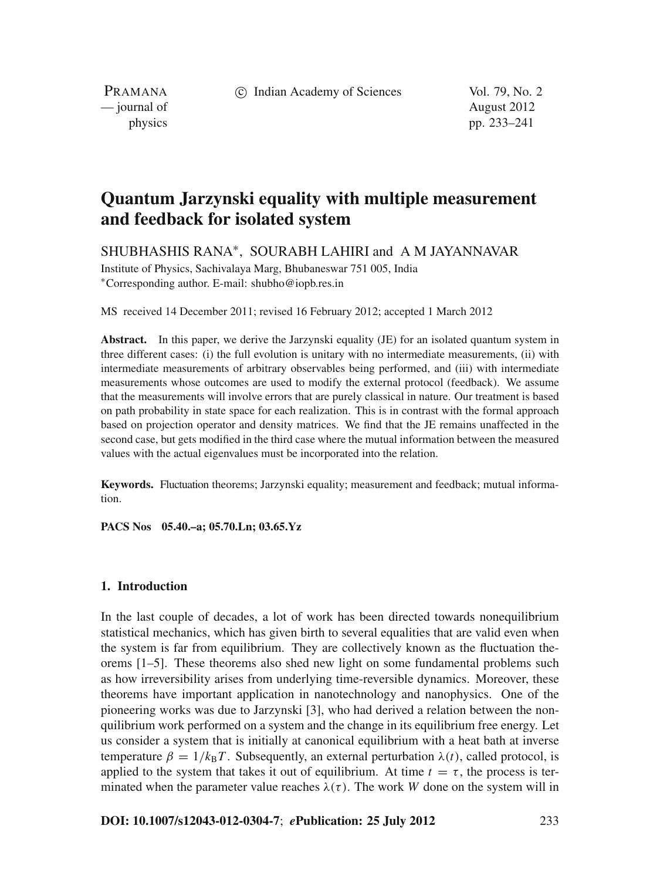c Indian Academy of Sciences Vol. 79, No. 2

PRAMANA — journal of August 2012

physics pp. 233–241

# **Quantum Jarzynski equality with multiple measurement and feedback for isolated system**

SHUBHASHIS RANA∗, SOURABH LAHIRI and A M JAYANNAVAR

Institute of Physics, Sachivalaya Marg, Bhubaneswar 751 005, India <sup>∗</sup>Corresponding author. E-mail: shubho@iopb.res.in

MS received 14 December 2011; revised 16 February 2012; accepted 1 March 2012

**Abstract.** In this paper, we derive the Jarzynski equality (JE) for an isolated quantum system in three different cases: (i) the full evolution is unitary with no intermediate measurements, (ii) with intermediate measurements of arbitrary observables being performed, and (iii) with intermediate measurements whose outcomes are used to modify the external protocol (feedback). We assume that the measurements will involve errors that are purely classical in nature. Our treatment is based on path probability in state space for each realization. This is in contrast with the formal approach based on projection operator and density matrices. We find that the JE remains unaffected in the second case, but gets modified in the third case where the mutual information between the measured values with the actual eigenvalues must be incorporated into the relation.

**Keywords.** Fluctuation theorems; Jarzynski equality; measurement and feedback; mutual information.

**PACS Nos 05.40.–a; 05.70.Ln; 03.65.Yz**

## **1. Introduction**

In the last couple of decades, a lot of work has been directed towards nonequilibrium statistical mechanics, which has given birth to several equalities that are valid even when the system is far from equilibrium. They are collectively known as the fluctuation theorems [1–5]. These theorems also shed new light on some fundamental problems such as how irreversibility arises from underlying time-reversible dynamics. Moreover, these theorems have important application in nanotechnology and nanophysics. One of the pioneering works was due to Jarzynski [3], who had derived a relation between the nonquilibrium work performed on a system and the change in its equilibrium free energy. Let us consider a system that is initially at canonical equilibrium with a heat bath at inverse temperature  $\beta = 1/k_B T$ . Subsequently, an external perturbation  $\lambda(t)$ , called protocol, is applied to the system that takes it out of equilibrium. At time  $t = \tau$ , the process is terminated when the parameter value reaches  $\lambda(\tau)$ . The work *W* done on the system will in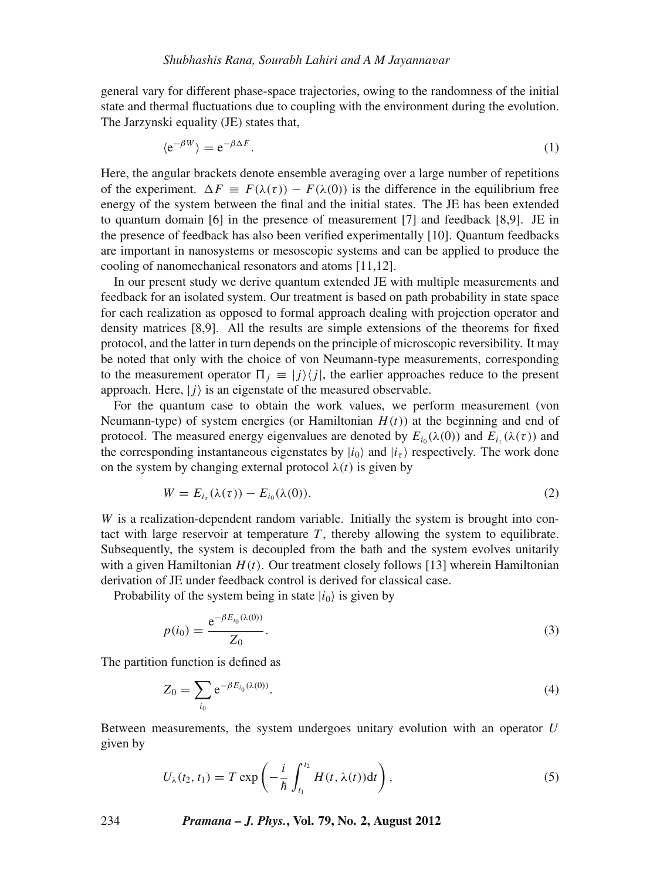general vary for different phase-space trajectories, owing to the randomness of the initial state and thermal fluctuations due to coupling with the environment during the evolution. The Jarzynski equality (JE) states that,

$$
\langle e^{-\beta W} \rangle = e^{-\beta \Delta F}.
$$
 (1)

Here, the angular brackets denote ensemble averaging over a large number of repetitions of the experiment.  $\Delta F \equiv F(\lambda(\tau)) - F(\lambda(0))$  is the difference in the equilibrium free energy of the system between the final and the initial states. The JE has been extended to quantum domain [6] in the presence of measurement [7] and feedback [8,9]. JE in the presence of feedback has also been verified experimentally [10]. Quantum feedbacks are important in nanosystems or mesoscopic systems and can be applied to produce the cooling of nanomechanical resonators and atoms [11,12].

In our present study we derive quantum extended JE with multiple measurements and feedback for an isolated system. Our treatment is based on path probability in state space for each realization as opposed to formal approach dealing with projection operator and density matrices [8,9]. All the results are simple extensions of the theorems for fixed protocol, and the latter in turn depends on the principle of microscopic reversibility. It may be noted that only with the choice of von Neumann-type measurements, corresponding to the measurement operator  $\prod_j \equiv |j\rangle\langle j|$ , the earlier approaches reduce to the present approach. Here,  $|j\rangle$  is an eigenstate of the measured observable.

For the quantum case to obtain the work values, we perform measurement (von Neumann-type) of system energies (or Hamiltonian  $H(t)$ ) at the beginning and end of protocol. The measured energy eigenvalues are denoted by  $E_{i_0}(\lambda(0))$  and  $E_{i_0}(\lambda(\tau))$  and the corresponding instantaneous eigenstates by  $|i_0\rangle$  and  $|i_\tau\rangle$  respectively. The work done on the system by changing external protocol  $\lambda(t)$  is given by

$$
W = E_{i_{\tau}}(\lambda(\tau)) - E_{i_0}(\lambda(0)).
$$
\n<sup>(2)</sup>

*W* is a realization-dependent random variable. Initially the system is brought into contact with large reservoir at temperature  $T$ , thereby allowing the system to equilibrate. Subsequently, the system is decoupled from the bath and the system evolves unitarily with a given Hamiltonian  $H(t)$ . Our treatment closely follows [13] wherein Hamiltonian derivation of JE under feedback control is derived for classical case.

Probability of the system being in state  $|i_0\rangle$  is given by

$$
p(i_0) = \frac{e^{-\beta E_{i_0}(\lambda(0))}}{Z_0}.
$$
\n(3)

The partition function is defined as

$$
Z_0 = \sum_{i_0} e^{-\beta E_{i_0}(\lambda(0))}.
$$
 (4)

Between measurements, the system undergoes unitary evolution with an operator *U* given by

$$
U_{\lambda}(t_2, t_1) = T \exp\left(-\frac{i}{\hbar} \int_{t_1}^{t_2} H(t, \lambda(t)) dt\right),\tag{5}
$$

234 *Pramana – J. Phys.***, Vol. 79, No. 2, August 2012**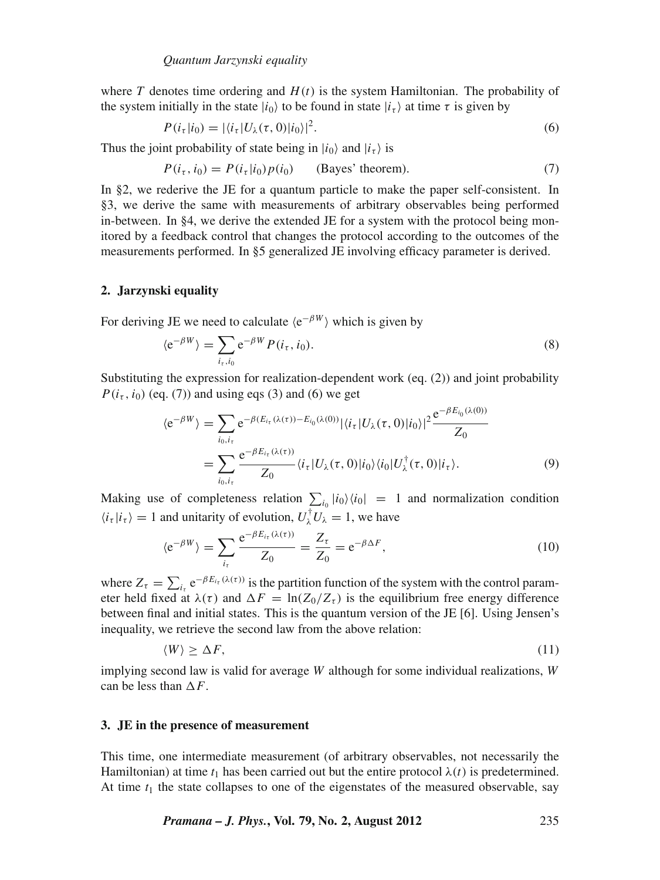where *T* denotes time ordering and  $H(t)$  is the system Hamiltonian. The probability of the system initially in the state  $|i_0\rangle$  to be found in state  $|i_\tau\rangle$  at time  $\tau$  is given by

$$
P(i_{\tau}|i_0) = |\langle i_{\tau}|U_{\lambda}(\tau,0)|i_0\rangle|^2. \tag{6}
$$

Thus the joint probability of state being in  $|i_0\rangle$  and  $|i_{\tau}\rangle$  is

$$
P(i_{\tau}, i_0) = P(i_{\tau}|i_0) p(i_0) \qquad \text{(Bayes' theorem)}.
$$
 (7)

In §2, we rederive the JE for a quantum particle to make the paper self-consistent. In §3, we derive the same with measurements of arbitrary observables being performed in-between. In §4, we derive the extended JE for a system with the protocol being monitored by a feedback control that changes the protocol according to the outcomes of the measurements performed. In §5 generalized JE involving efficacy parameter is derived.

#### **2. Jarzynski equality**

For deriving JE we need to calculate  $\langle e^{-\beta W} \rangle$  which is given by

$$
\langle e^{-\beta W} \rangle = \sum_{i_{\tau}, i_0} e^{-\beta W} P(i_{\tau}, i_0). \tag{8}
$$

Substituting the expression for realization-dependent work (eq. (2)) and joint probability  $P(i_7, i_0)$  (eq. (7)) and using eqs (3) and (6) we get

$$
\langle e^{-\beta W} \rangle = \sum_{i_0, i_\tau} e^{-\beta (E_{i_\tau}(\lambda(\tau)) - E_{i_0}(\lambda(0))} |\langle i_\tau | U_\lambda(\tau, 0) | i_0 \rangle|^2 \frac{e^{-\beta E_{i_0}(\lambda(0))}}{Z_0}
$$
  
= 
$$
\sum_{i_0, i_\tau} \frac{e^{-\beta E_{i_\tau}(\lambda(\tau))}}{Z_0} \langle i_\tau | U_\lambda(\tau, 0) | i_0 \rangle \langle i_0 | U_\lambda^\dagger(\tau, 0) | i_\tau \rangle.
$$
 (9)

Making use of completeness relation  $\sum_{i_0} |i_0\rangle\langle i_0| = 1$  and normalization condition  $\langle i_{\tau} | i_{\tau} \rangle = 1$  and unitarity of evolution,  $U_{\lambda}^{\dagger} U_{\lambda} = 1$ , we have

$$
\langle e^{-\beta W} \rangle = \sum_{i_{\tau}} \frac{e^{-\beta E_{i_{\tau}}}(\lambda(\tau))}{Z_0} = \frac{Z_{\tau}}{Z_0} = e^{-\beta \Delta F},\tag{10}
$$

where  $Z_{\tau} = \sum_{i_{\tau}} e^{-\beta E_{i_{\tau}}(\lambda(\tau))}$  is the partition function of the system with the control parameter held fixed at  $\lambda(\tau)$  and  $\Delta F = \ln(Z_0/Z_\tau)$  is the equilibrium free energy difference between final and initial states. This is the quantum version of the JE [6]. Using Jensen's inequality, we retrieve the second law from the above relation:

$$
\langle W \rangle \geq \Delta F,\tag{11}
$$

implying second law is valid for average *W* although for some individual realizations, *W* can be less than  $\Delta F$ .

# **3. JE in the presence of measurement**

This time, one intermediate measurement (of arbitrary observables, not necessarily the Hamiltonian) at time  $t_1$  has been carried out but the entire protocol  $\lambda(t)$  is predetermined. At time  $t_1$  the state collapses to one of the eigenstates of the measured observable, say

*Pramana – J. Phys.***, Vol. 79, No. 2, August 2012** 235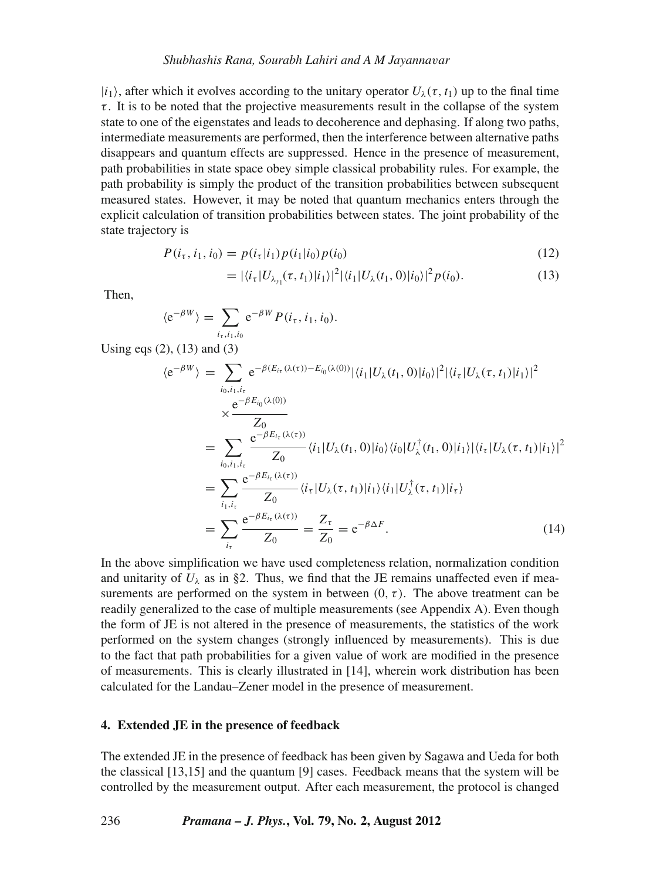## *Shubhashis Rana, Sourabh Lahiri and A M Jayanna*v*ar*

 $|i_1\rangle$ , after which it evolves according to the unitary operator  $U_1(\tau, t_1)$  up to the final time  $\tau$ . It is to be noted that the projective measurements result in the collapse of the system state to one of the eigenstates and leads to decoherence and dephasing. If along two paths, intermediate measurements are performed, then the interference between alternative paths disappears and quantum effects are suppressed. Hence in the presence of measurement, path probabilities in state space obey simple classical probability rules. For example, the path probability is simply the product of the transition probabilities between subsequent measured states. However, it may be noted that quantum mechanics enters through the explicit calculation of transition probabilities between states. The joint probability of the state trajectory is

$$
P(i_{\tau}, i_1, i_0) = p(i_{\tau}|i_1) p(i_1|i_0) p(i_0)
$$
\n(12)

$$
= |\langle i_{\tau} | U_{\lambda_{y_1}}(\tau, t_1) | i_1 \rangle|^2 |\langle i_1 | U_{\lambda}(t_1, 0) | i_0 \rangle|^2 p(i_0). \tag{13}
$$

Then,

$$
\langle e^{-\beta W} \rangle = \sum_{i_{\tau}, i_1, i_0} e^{-\beta W} P(i_{\tau}, i_1, i_0).
$$

Using eqs (2), (13) and (3)

$$
\langle e^{-\beta W} \rangle = \sum_{i_0, i_1, i_\tau} e^{-\beta (E_{i_\tau}(\lambda(\tau)) - E_{i_0}(\lambda(0))} |\langle i_1 | U_\lambda(t_1, 0) | i_0 \rangle|^2 |\langle i_\tau | U_\lambda(\tau, t_1) | i_1 \rangle|^2
$$
  
\n
$$
\times \frac{e^{-\beta E_{i_0}(\lambda(0))}}{Z_0}
$$
  
\n
$$
= \sum_{i_0, i_1, i_\tau} \frac{e^{-\beta E_{i_\tau}(\lambda(\tau))}}{Z_0} \langle i_1 | U_\lambda(t_1, 0) | i_0 \rangle \langle i_0 | U_\lambda^\dagger(t_1, 0) | i_1 \rangle |\langle i_\tau | U_\lambda(\tau, t_1) | i_1 \rangle|^2
$$
  
\n
$$
= \sum_{i_1, i_\tau} \frac{e^{-\beta E_{i_\tau}(\lambda(\tau))}}{Z_0} \langle i_\tau | U_\lambda(\tau, t_1) | i_1 \rangle \langle i_1 | U_\lambda^\dagger(\tau, t_1) | i_\tau \rangle
$$
  
\n
$$
= \sum_{i_\tau} \frac{e^{-\beta E_{i_\tau}(\lambda(\tau))}}{Z_0} = \frac{Z_\tau}{Z_0} = e^{-\beta \Delta F}.
$$
 (14)

In the above simplification we have used completeness relation, normalization condition and unitarity of  $U_{\lambda}$  as in §2. Thus, we find that the JE remains unaffected even if measurements are performed on the system in between  $(0, \tau)$ . The above treatment can be readily generalized to the case of multiple measurements (see Appendix A). Even though the form of JE is not altered in the presence of measurements, the statistics of the work performed on the system changes (strongly influenced by measurements). This is due to the fact that path probabilities for a given value of work are modified in the presence of measurements. This is clearly illustrated in [14], wherein work distribution has been calculated for the Landau–Zener model in the presence of measurement.

# **4. Extended JE in the presence of feedback**

The extended JE in the presence of feedback has been given by Sagawa and Ueda for both the classical [13,15] and the quantum [9] cases. Feedback means that the system will be controlled by the measurement output. After each measurement, the protocol is changed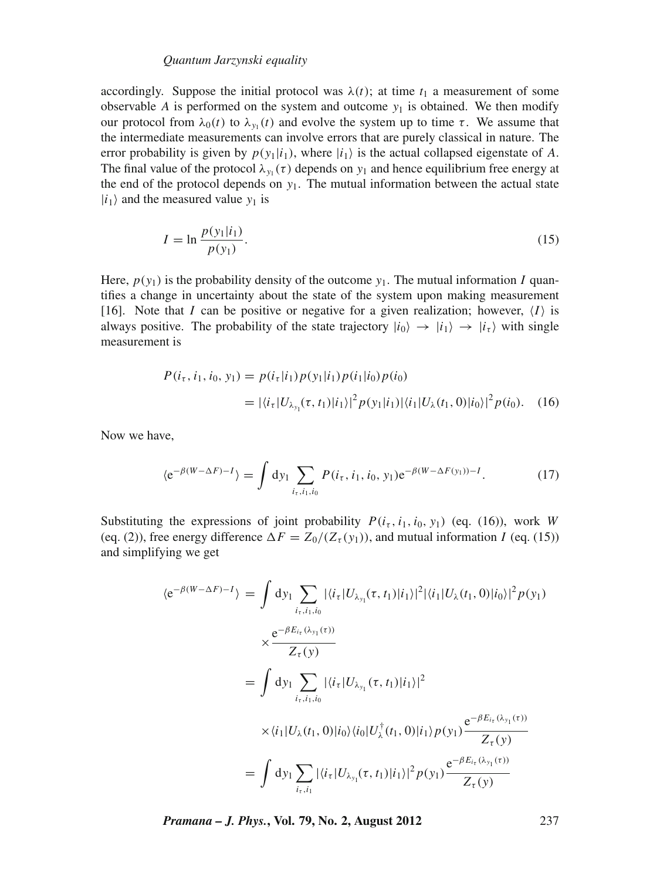# *Quantum Jarzynski equality*

accordingly. Suppose the initial protocol was  $\lambda(t)$ ; at time  $t_1$  a measurement of some observable  $A$  is performed on the system and outcome  $y_1$  is obtained. We then modify our protocol from  $\lambda_0(t)$  to  $\lambda_{y_1}(t)$  and evolve the system up to time  $\tau$ . We assume that the intermediate measurements can involve errors that are purely classical in nature. The error probability is given by  $p(y_1|i_1)$ , where  $|i_1\rangle$  is the actual collapsed eigenstate of *A*. The final value of the protocol  $\lambda_{y_1}(\tau)$  depends on  $y_1$  and hence equilibrium free energy at the end of the protocol depends on  $y_1$ . The mutual information between the actual state  $|i_1\rangle$  and the measured value  $y_1$  is

$$
I = \ln \frac{p(y_1|i_1)}{p(y_1)}.
$$
\n(15)

Here,  $p(y_1)$  is the probability density of the outcome  $y_1$ . The mutual information *I* quantifies a change in uncertainty about the state of the system upon making measurement [16]. Note that *I* can be positive or negative for a given realization; however,  $\langle I \rangle$  is always positive. The probability of the state trajectory  $|i_0\rangle \rightarrow |i_1\rangle \rightarrow |i_\tau\rangle$  with single measurement is

$$
P(i_{\tau}, i_1, i_0, y_1) = p(i_{\tau}|i_1) p(y_1|i_1) p(i_1|i_0) p(i_0)
$$
  
=  $|\langle i_{\tau}|U_{\lambda_{y_1}}(\tau, t_1)|i_1\rangle|^2 p(y_1|i_1)|\langle i_1|U_{\lambda}(t_1, 0)|i_0\rangle|^2 p(i_0).$  (16)

Now we have,

$$
\langle e^{-\beta(W-\Delta F)-I} \rangle = \int dy_1 \sum_{i_{\tau},i_1,i_0} P(i_{\tau},i_1,i_0,y_1) e^{-\beta(W-\Delta F(y_1))-I}.
$$
 (17)

Substituting the expressions of joint probability  $P(i_\tau, i_1, i_0, y_1)$  (eq. (16)), work *W* (eq. (2)), free energy difference  $\Delta F = Z_0/(Z_\tau(y_1))$ , and mutual information *I* (eq. (15)) and simplifying we get

$$
\langle e^{-\beta(W-\Delta F)-I} \rangle = \int dy_1 \sum_{i_{\tau},i_1,i_0} |\langle i_{\tau} | U_{\lambda_{y_1}}(\tau, t_1) | i_1 \rangle|^2 |\langle i_1 | U_{\lambda}(t_1, 0) | i_0 \rangle|^2 p(y_1)
$$
  

$$
\times \frac{e^{-\beta E_{i_{\tau}}(\lambda_{y_1}(\tau))}}{Z_{\tau}(y)}
$$
  

$$
= \int dy_1 \sum_{i_{\tau},i_1,i_0} |\langle i_{\tau} | U_{\lambda_{y_1}}(\tau, t_1) | i_1 \rangle|^2
$$
  

$$
\times \langle i_1 | U_{\lambda}(t_1, 0) | i_0 \rangle \langle i_0 | U_{\lambda}^{\dagger}(t_1, 0) | i_1 \rangle p(y_1) \frac{e^{-\beta E_{i_{\tau}}(\lambda_{y_1}(\tau))}}{Z_{\tau}(y)}
$$
  

$$
= \int dy_1 \sum_{i_{\tau},i_1} |\langle i_{\tau} | U_{\lambda_{y_1}}(\tau, t_1) | i_1 \rangle|^2 p(y_1) \frac{e^{-\beta E_{i_{\tau}}(\lambda_{y_1}(\tau))}}{Z_{\tau}(y)}
$$

*Pramana – J. Phys.***, Vol. 79, No. 2, August 2012** 237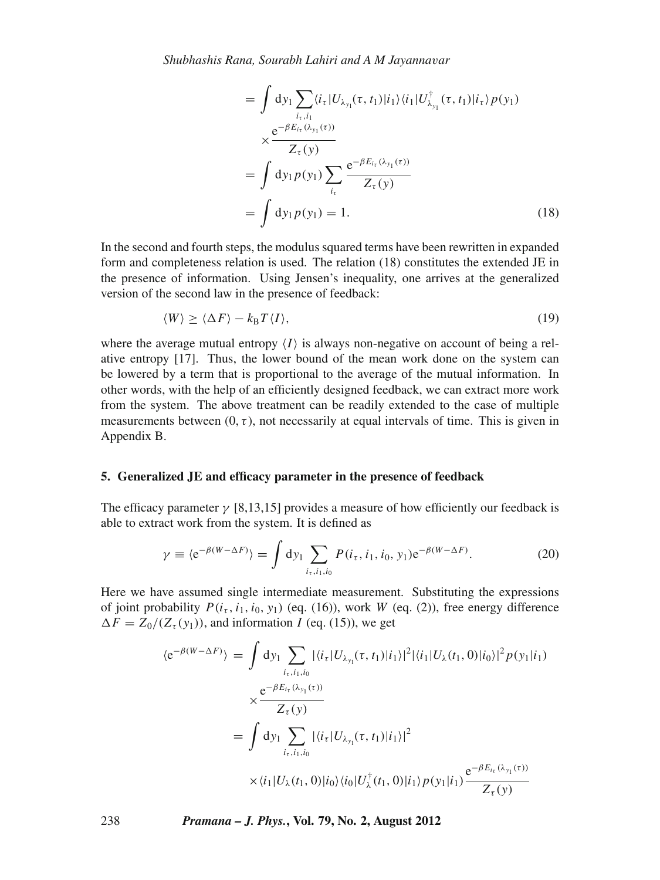*Shubhashis Rana, Sourabh Lahiri and A M Jayanna*v*ar*

$$
= \int dy_1 \sum_{i_{\tau}, i_1} \langle i_{\tau} | U_{\lambda_{y_1}}(\tau, t_1) | i_1 \rangle \langle i_1 | U_{\lambda_{y_1}}^{\dagger}(\tau, t_1) | i_{\tau} \rangle p(y_1)
$$
  
\n
$$
\times \frac{e^{-\beta E_{i_{\tau}}(\lambda_{y_1}(\tau))}}{Z_{\tau}(y)}
$$
  
\n
$$
= \int dy_1 p(y_1) \sum_{i_{\tau}} \frac{e^{-\beta E_{i_{\tau}}(\lambda_{y_1}(\tau))}}{Z_{\tau}(y)}
$$
  
\n
$$
= \int dy_1 p(y_1) = 1.
$$
 (18)

In the second and fourth steps, the modulus squared terms have been rewritten in expanded form and completeness relation is used. The relation (18) constitutes the extended JE in the presence of information. Using Jensen's inequality, one arrives at the generalized version of the second law in the presence of feedback:

$$
\langle W \rangle \ge \langle \Delta F \rangle - k_{\text{B}} T \langle I \rangle,\tag{19}
$$

where the average mutual entropy  $\langle I \rangle$  is always non-negative on account of being a relative entropy [17]. Thus, the lower bound of the mean work done on the system can be lowered by a term that is proportional to the average of the mutual information. In other words, with the help of an efficiently designed feedback, we can extract more work from the system. The above treatment can be readily extended to the case of multiple measurements between  $(0, \tau)$ , not necessarily at equal intervals of time. This is given in Appendix B.

# **5. Generalized JE and efficacy parameter in the presence of feedback**

The efficacy parameter  $\gamma$  [8,13,15] provides a measure of how efficiently our feedback is able to extract work from the system. It is defined as

$$
\gamma \equiv \langle e^{-\beta(W-\Delta F)} \rangle = \int dy_1 \sum_{i_{\tau},i_1,i_0} P(i_{\tau}, i_1, i_0, y_1) e^{-\beta(W-\Delta F)}.
$$
 (20)

Here we have assumed single intermediate measurement. Substituting the expressions of joint probability  $P(i_t, i_1, i_0, y_1)$  (eq. (16)), work *W* (eq. (2)), free energy difference  $\Delta F = Z_0/(Z_{\tau}(y_1))$ , and information *I* (eq. (15)), we get

$$
\langle e^{-\beta(W-\Delta F)} \rangle = \int dy_1 \sum_{i_{\tau},i_{1},i_{0}} |\langle i_{\tau} | U_{\lambda_{y_{1}}}(\tau, t_{1}) | i_{1} \rangle|^{2} |\langle i_{1} | U_{\lambda}(t_{1}, 0) | i_{0} \rangle|^{2} p(y_{1} | i_{1})
$$
  

$$
\times \frac{e^{-\beta E_{i_{\tau}}(\lambda_{y_{1}}(\tau))}}{Z_{\tau}(y)}
$$
  

$$
= \int dy_1 \sum_{i_{\tau},i_{1},i_{0}} |\langle i_{\tau} | U_{\lambda_{y_{1}}}(\tau, t_{1}) | i_{1} \rangle|^{2}
$$
  

$$
\times \langle i_{1} | U_{\lambda}(t_{1}, 0) | i_{0} \rangle \langle i_{0} | U_{\lambda}^{\dagger}(t_{1}, 0) | i_{1} \rangle p(y_{1} | i_{1}) \frac{e^{-\beta E_{i_{\tau}}(\lambda_{y_{1}}(\tau))}}{Z_{\tau}(y)}
$$

238 *Pramana – J. Phys.***, Vol. 79, No. 2, August 2012**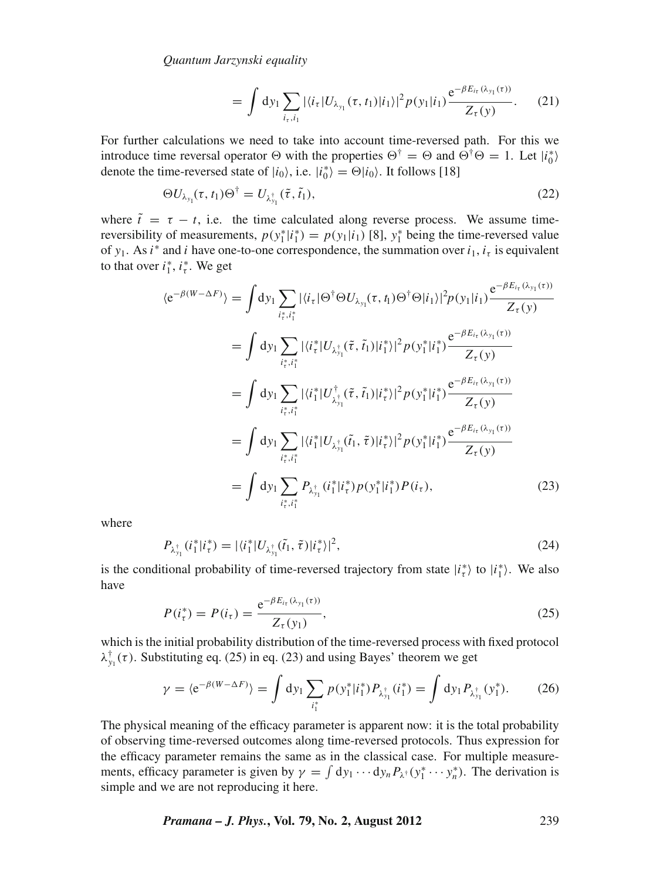*Quantum Jarzynski equality*

$$
= \int dy_1 \sum_{i_\tau, i_1} |\langle i_\tau | U_{\lambda_{y_1}}(\tau, t_1) | i_1 \rangle|^2 p(y_1 | i_1) \frac{e^{-\beta E_{i_\tau}(\lambda_{y_1}(\tau))}}{Z_\tau(y)}.
$$
 (21)

For further calculations we need to take into account time-reversed path. For this we introduce time reversal operator  $\Theta$  with the properties  $\Theta^{\dagger} = \Theta$  and  $\Theta^{\dagger} \Theta = 1$ . Let  $|i_0^* \rangle$ denote the time-reversed state of  $|i_0\rangle$ , i.e.  $|i_0^*\rangle = \Theta |i_0\rangle$ . It follows [18]

$$
\Theta U_{\lambda_{y_1}}(\tau, t_1) \Theta^{\dagger} = U_{\lambda_{y_1}^{\dagger}}(\tilde{\tau}, \tilde{t}_1), \tag{22}
$$

where  $\tilde{t} = \tau - t$ , i.e. the time calculated along reverse process. We assume timereversibility of measurements,  $p(y_1^*|i_1^*) = p(y_1|i_1)$  [8],  $y_1^*$  being the time-reversed value of  $y_1$ . As *i*<sup>\*</sup> and *i* have one-to-one correspondence, the summation over  $i_1$ ,  $i_\tau$  is equivalent to that over  $i_1^*, i_\tau^*$ . We get

$$
\langle e^{-\beta(W-\Delta F)} \rangle = \int dy_1 \sum_{i_{\tau}^*, i_{\tau}^*} |\langle i_{\tau} | \Theta^{\dagger} \Theta U_{\lambda_{y_1}}(\tau, t_1) \Theta^{\dagger} \Theta | i_1 \rangle|^2 p(y_1 | i_1) \frac{e^{-\beta E_{i_{\tau}}(\lambda_{y_1}(\tau))}}{Z_{\tau}(y)}
$$
  
\n
$$
= \int dy_1 \sum_{i_{\tau}^*, i_{\tau}^*} |\langle i_{\tau}^* | U_{\lambda_{y_1}^*}(\tilde{\tau}, \tilde{i}_1) | i_1^* \rangle|^2 p(y_1^* | i_1^*) \frac{e^{-\beta E_{i_{\tau}}(\lambda_{y_1}(\tau))}}{Z_{\tau}(y)}
$$
  
\n
$$
= \int dy_1 \sum_{i_{\tau}^*, i_{\tau}^*} |\langle i_1^* | U_{\lambda_{y_1}^*}(\tilde{\tau}, \tilde{i}_1) | i_{\tau}^* \rangle|^2 p(y_1^* | i_1^*) \frac{e^{-\beta E_{i_{\tau}}(\lambda_{y_1}(\tau))}}{Z_{\tau}(y)}
$$
  
\n
$$
= \int dy_1 \sum_{i_{\tau}^*, i_{\tau}^*} |\langle i_1^* | U_{\lambda_{y_1}^*}(\tilde{i}_1, \tilde{\tau}) | i_{\tau}^* \rangle|^2 p(y_1^* | i_1^*) \frac{e^{-\beta E_{i_{\tau}}(\lambda_{y_1}(\tau))}}{Z_{\tau}(y)}
$$
  
\n
$$
= \int dy_1 \sum_{i_{\tau}^*, i_{\tau}^*} P_{\lambda_{y_1}^*} (i_1^* | i_{\tau}^*) p(y_1^* | i_1^*) p(i_{\tau}), \qquad (23)
$$

where

$$
P_{\lambda_{y_1}^{\dagger}}(i_1^*|i_{\tau}^*) = |\langle i_1^*|U_{\lambda_{y_1}^{\dagger}}(\tilde{t}_1, \tilde{\tau})|i_{\tau}^* \rangle|^2, \tag{24}
$$

is the conditional probability of time-reversed trajectory from state  $|i_{\tau}^* \rangle$  to  $|i_1^* \rangle$ . We also have

$$
P(i_{\tau}^{*}) = P(i_{\tau}) = \frac{e^{-\beta E_{i_{\tau}}(\lambda_{y_{1}}(\tau))}}{Z_{\tau}(y_{1})},
$$
\n(25)

which is the initial probability distribution of the time-reversed process with fixed protocol  $\lambda_{y_1}^{\dagger}(\tau)$ . Substituting eq. (25) in eq. (23) and using Bayes' theorem we get

$$
\gamma = \langle e^{-\beta(W - \Delta F)} \rangle = \int dy_1 \sum_{i_1^*} p(y_1^* | i_1^*) P_{\lambda_{y_1}^*} (i_1^*) = \int dy_1 P_{\lambda_{y_1}^*} (y_1^*).
$$
 (26)

The physical meaning of the efficacy parameter is apparent now: it is the total probability of observing time-reversed outcomes along time-reversed protocols. Thus expression for the efficacy parameter remains the same as in the classical case. For multiple measurements, efficacy parameter is given by  $\gamma = \int dy_1 \cdots dy_n P_{\lambda^{\dagger}}(y_1^* \cdots y_n^*)$ . The derivation is simple and we are not reproducing it here.

*Pramana – J. Phys.***, Vol. 79, No. 2, August 2012** 239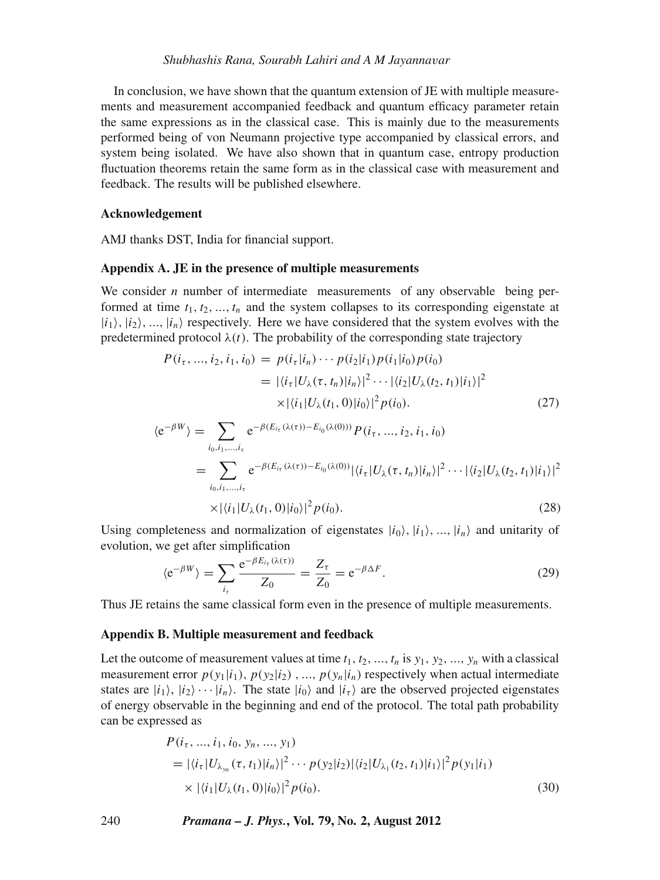In conclusion, we have shown that the quantum extension of JE with multiple measurements and measurement accompanied feedback and quantum efficacy parameter retain the same expressions as in the classical case. This is mainly due to the measurements performed being of von Neumann projective type accompanied by classical errors, and system being isolated. We have also shown that in quantum case, entropy production fluctuation theorems retain the same form as in the classical case with measurement and feedback. The results will be published elsewhere.

#### **Acknowledgement**

AMJ thanks DST, India for financial support.

## **Appendix A. JE in the presence of multiple measurements**

We consider *n* number of intermediate measurements of any observable being performed at time  $t_1, t_2, ..., t_n$  and the system collapses to its corresponding eigenstate at  $|i_1\rangle$ ,  $|i_2\rangle$ , ...,  $|i_n\rangle$  respectively. Here we have considered that the system evolves with the predetermined protocol  $\lambda(t)$ . The probability of the corresponding state trajectory

$$
P(i_{\tau},...,i_{2},i_{1},i_{0}) = p(i_{\tau}|i_{n}) \cdots p(i_{2}|i_{1})p(i_{1}|i_{0})p(i_{0})
$$
  
=  $|\langle i_{\tau}|U_{\lambda}(\tau,t_{n})|i_{n}\rangle|^{2} \cdots |\langle i_{2}|U_{\lambda}(t_{2},t_{1})|i_{1}\rangle|^{2}$   
 $\times |\langle i_{1}|U_{\lambda}(t_{1},0)|i_{0}\rangle|^{2}p(i_{0}).$  (27)

$$
\langle e^{-\beta W} \rangle = \sum_{i_0, i_1, \dots, i_{\tau}} e^{-\beta (E_{i_{\tau}}(\lambda(\tau)) - E_{i_0}(\lambda(0)))} P(i_{\tau}, \dots, i_2, i_1, i_0)
$$
  
= 
$$
\sum_{i_0, i_1, \dots, i_{\tau}} e^{-\beta (E_{i_{\tau}}(\lambda(\tau)) - E_{i_0}(\lambda(0))} |\langle i_{\tau} | U_{\lambda}(\tau, t_n) | i_n \rangle|^2 \cdots |\langle i_2 | U_{\lambda}(t_2, t_1) | i_1 \rangle|^2
$$

$$
\times |\langle i_1|U_\lambda(t_1,0)|i_0\rangle|^2 p(i_0). \tag{28}
$$

Using completeness and normalization of eigenstates  $|i_0\rangle$ ,  $|i_1\rangle$ , ...,  $|i_n\rangle$  and unitarity of evolution, we get after simplification

$$
\langle e^{-\beta W} \rangle = \sum_{i_{\tau}} \frac{e^{-\beta E_{i_{\tau}}(\lambda(\tau))}}{Z_0} = \frac{Z_{\tau}}{Z_0} = e^{-\beta \Delta F}.
$$
 (29)

Thus JE retains the same classical form even in the presence of multiple measurements.

#### **Appendix B. Multiple measurement and feedback**

Let the outcome of measurement values at time  $t_1, t_2, ..., t_n$  is  $y_1, y_2, ..., y_n$  with a classical measurement error  $p(y_1|i_1)$ ,  $p(y_2|i_2)$ , ...,  $p(y_n|i_n)$  respectively when actual intermediate states are  $|i_1\rangle$ ,  $|i_2\rangle \cdots |i_n\rangle$ . The state  $|i_0\rangle$  and  $|i_\tau\rangle$  are the observed projected eigenstates of energy observable in the beginning and end of the protocol. The total path probability can be expressed as

$$
P(i_{\tau},...,i_{1},i_{0},y_{n},...,y_{1})
$$
\n
$$
= |\langle i_{\tau}|U_{\lambda_{y_{n}}}(\tau,t_{1})|i_{n}\rangle|^{2} \cdots p(y_{2}|i_{2})|\langle i_{2}|U_{\lambda_{1}}(t_{2},t_{1})|i_{1}\rangle|^{2} p(y_{1}|i_{1})
$$
\n
$$
\times |\langle i_{1}|U_{\lambda}(t_{1},0)|i_{0}\rangle|^{2} p(i_{0}). \qquad (30)
$$

240 *Pramana – J. Phys.***, Vol. 79, No. 2, August 2012**